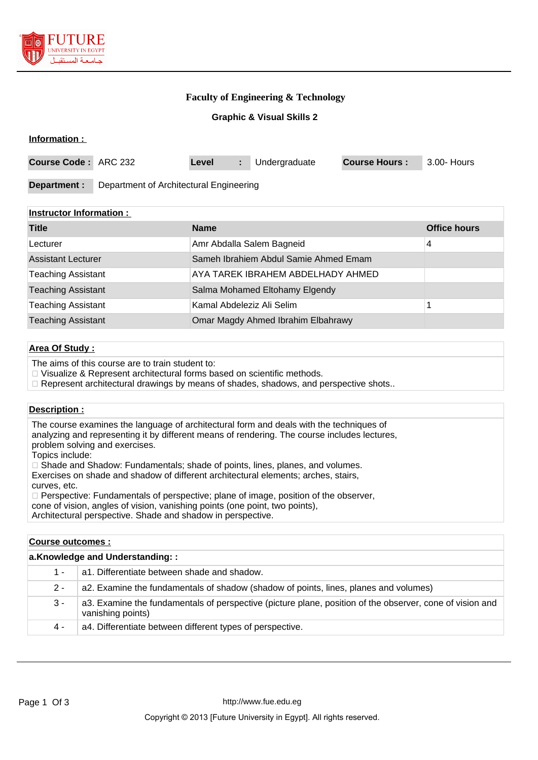

**Information :** 

## **Faculty of Engineering & Technology**

## **Graphic & Visual Skills 2**

| <b>Course Code: ARC 232</b> |                                         | Level | Undergraduate | <b>Course Hours:</b> | 3.00- Hours |
|-----------------------------|-----------------------------------------|-------|---------------|----------------------|-------------|
| Department :                | Department of Architectural Engineering |       |               |                      |             |

## **Instructor Information :**

| <b>Title</b>              | <b>Name</b>                           | <b>Office hours</b> |
|---------------------------|---------------------------------------|---------------------|
| Lecturer                  | Amr Abdalla Salem Bagneid             | 4                   |
| <b>Assistant Lecturer</b> | Sameh Ibrahiem Abdul Samie Ahmed Emam |                     |
| <b>Teaching Assistant</b> | AYA TAREK IBRAHEM ABDELHADY AHMED     |                     |
| <b>Teaching Assistant</b> | Salma Mohamed Eltohamy Elgendy        |                     |
| <b>Teaching Assistant</b> | Kamal Abdeleziz Ali Selim             |                     |
| <b>Teaching Assistant</b> | Omar Magdy Ahmed Ibrahim Elbahrawy    |                     |

## **Area Of Study :**

The aims of this course are to train student to:

□ Visualize & Represent architectural forms based on scientific methods.

 $\Box$  Represent architectural drawings by means of shades, shadows, and perspective shots..

### **Description :**

The course examines the language of architectural form and deals with the techniques of analyzing and representing it by different means of rendering. The course includes lectures, problem solving and exercises. Topics include:  $\Box$  Shade and Shadow: Fundamentals; shade of points, lines, planes, and volumes. Exercises on shade and shadow of different architectural elements; arches, stairs, curves, etc.  $\Box$  Perspective: Fundamentals of perspective; plane of image, position of the observer, cone of vision, angles of vision, vanishing points (one point, two points), Architectural perspective. Shade and shadow in perspective.

**Course outcomes : a.Knowledge and Understanding: :** 1 - a1. Differentiate between shade and shadow. 2 - a2. Examine the fundamentals of shadow (shadow of points, lines, planes and volumes) 3 - a3. Examine the fundamentals of perspective (picture plane, position of the observer, cone of vision and vanishing points) 4 - a4. Differentiate between different types of perspective.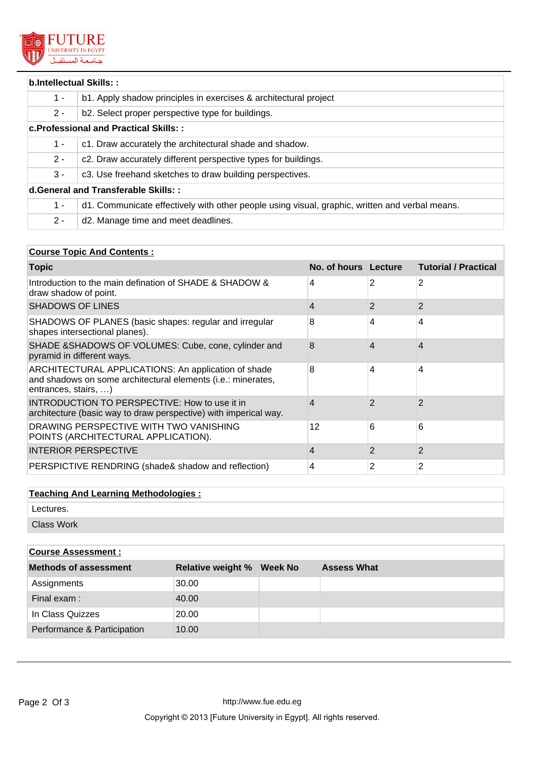

| b.Intellectual Skills::                |                                                                                                |  |  |  |
|----------------------------------------|------------------------------------------------------------------------------------------------|--|--|--|
| $1 -$                                  | b1. Apply shadow principles in exercises & architectural project                               |  |  |  |
| $2 -$                                  | b2. Select proper perspective type for buildings.                                              |  |  |  |
| c. Professional and Practical Skills:: |                                                                                                |  |  |  |
| $1 -$                                  | c1. Draw accurately the architectural shade and shadow.                                        |  |  |  |
| $2 -$                                  | c2. Draw accurately different perspective types for buildings.                                 |  |  |  |
| $3 -$                                  | c3. Use freehand sketches to draw building perspectives.                                       |  |  |  |
| d. General and Transferable Skills::   |                                                                                                |  |  |  |
| $1 -$                                  | d1. Communicate effectively with other people using visual, graphic, written and verbal means. |  |  |  |
| $2 -$                                  | d2. Manage time and meet deadlines.                                                            |  |  |  |

# **Course Topic And Contents :**

| <b>Topic</b>                                                                                                                                | No. of hours Lecture |                | <b>Tutorial / Practical</b> |
|---------------------------------------------------------------------------------------------------------------------------------------------|----------------------|----------------|-----------------------------|
| Introduction to the main defination of SHADE & SHADOW &<br>draw shadow of point.                                                            | 4                    | 2              | 2                           |
| <b>SHADOWS OF LINES</b>                                                                                                                     | 4                    | $\overline{2}$ | $\overline{2}$              |
| SHADOWS OF PLANES (basic shapes: regular and irregular<br>shapes intersectional planes).                                                    | 8                    | 4              | 4                           |
| SHADE & SHADOWS OF VOLUMES: Cube, cone, cylinder and<br>pyramid in different ways.                                                          | 8                    | 4              | 4                           |
| ARCHITECTURAL APPLICATIONS: An application of shade<br>and shadows on some architectural elements (i.e.: minerates,<br>entrances, stairs, ) | 8                    | 4              | 4                           |
| <b>INTRODUCTION TO PERSPECTIVE: How to use it in</b><br>architecture (basic way to draw perspective) with imperical way.                    | 4                    | 2              | $\overline{2}$              |
| DRAWING PERSPECTIVE WITH TWO VANISHING<br>POINTS (ARCHITECTURAL APPLICATION).                                                               | 12                   | 6              | 6                           |
| INTERIOR PERSPECTIVE                                                                                                                        | 4                    | $\overline{2}$ | $\overline{2}$              |
| PERSPICTIVE RENDRING (shade& shadow and reflection)                                                                                         | 4                    | 2              | 2                           |

# **Teaching And Learning Methodologies :**

Lectures.

Class Work

| <b>Course Assessment:</b>    |                          |         |                    |
|------------------------------|--------------------------|---------|--------------------|
| <b>Methods of assessment</b> | <b>Relative weight %</b> | Week No | <b>Assess What</b> |
| Assignments                  | 30.00                    |         |                    |
| Final exam:                  | 40.00                    |         |                    |
| In Class Quizzes             | 20.00                    |         |                    |
| Performance & Participation  | 10.00                    |         |                    |